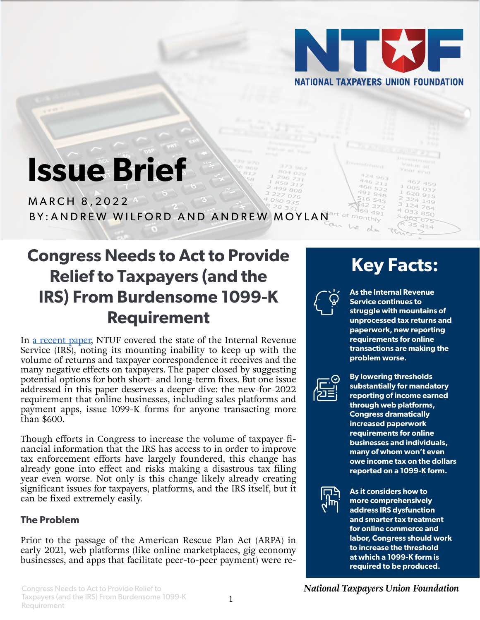

 $446211$ 468  $52 948$ 

# **Issue Brief**

MARCH 8,2022 art at monthly BY:ANDREW WILFORD AND ANDREW MOYLAN

## **Congress Needs to Act to Provide Relief to Taxpayers (and the IRS) From Burdensome 1099-K Requirement**

In [a recent paper,](https://www.ntu.org/foundation/detail/taxpayers-desperately-need-help-with-disastrous-filing-season) NTUF covered the state of the Internal Revenue Service (IRS), noting its mounting inability to keep up with the volume of returns and taxpayer correspondence it receives and the many negative effects on taxpayers. The paper closed by suggesting potential options for both short- and long-term fixes. But one issue addressed in this paper deserves a deeper dive: the new-for-2022 requirement that online businesses, including sales platforms and payment apps, issue 1099-K forms for anyone transacting more than \$600.

Though efforts in Congress to increase the volume of taxpayer financial information that the IRS has access to in order to improve tax enforcement efforts have largely foundered, this change has already gone into effect and risks making a disastrous tax filing year even worse. Not only is this change likely already creating significant issues for taxpayers, platforms, and the IRS itself, but it can be fixed extremely easily.

#### **The Problem**

Prior to the passage of the American Rescue Plan Act (ARPA) in early 2021, web platforms (like online marketplaces, gig economy businesses, and apps that facilitate peer-to-peer payment) were re-

## **Key Facts:**

 $324$   $149$ 764

850 5-063-075

 $4033$ 



**As the Internal Revenue Service continues to struggle with mountains of unprocessed tax returns and paperwork, new reporting requirements for online transactions are making the problem worse.**



**By lowering thresholds substantially for mandatory reporting of income earned through web platforms, Congress dramatically increased paperwork requirements for online businesses and individuals, many of whom won't even owe income tax on the dollars reported on a 1099-K form.**



**As it considers how to more comprehensively address IRS dysfunction and smarter tax treatment for online commerce and labor, Congress should work to increase the threshold at which a 1099-K form is required to be produced.**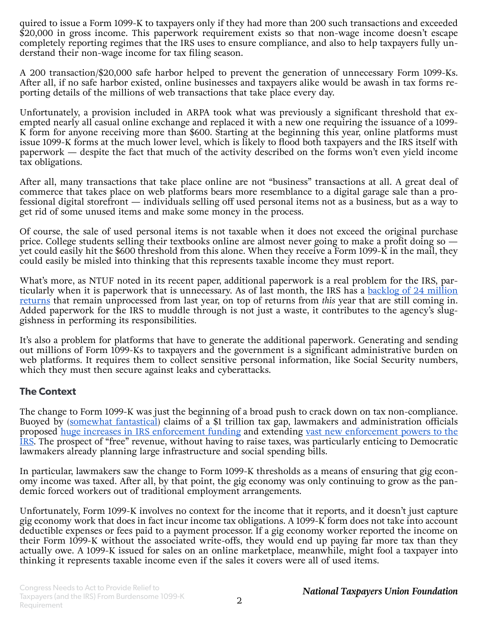quired to issue a Form 1099-K to taxpayers only if they had more than 200 such transactions and exceeded \$20,000 in gross income. This paperwork requirement exists so that non-wage income doesn't escape completely reporting regimes that the IRS uses to ensure compliance, and also to help taxpayers fully understand their non-wage income for tax filing season.

A 200 transaction/\$20,000 safe harbor helped to prevent the generation of unnecessary Form 1099-Ks. After all, if no safe harbor existed, online businesses and taxpayers alike would be awash in tax forms reporting details of the millions of web transactions that take place every day.

Unfortunately, a provision included in ARPA took what was previously a significant threshold that exempted nearly all casual online exchange and replaced it with a new one requiring the issuance of a 1099- K form for anyone receiving more than \$600. Starting at the beginning this year, online platforms must issue 1099-K forms at the much lower level, which is likely to flood both taxpayers and the IRS itself with paperwork — despite the fact that much of the activity described on the forms won't even yield income tax obligations.

After all, many transactions that take place online are not "business" transactions at all. A great deal of commerce that takes place on web platforms bears more resemblance to a digital garage sale than a professional digital storefront — individuals selling off used personal items not as a business, but as a way to get rid of some unused items and make some money in the process.

Of course, the sale of used personal items is not taxable when it does not exceed the original purchase price. College students selling their textbooks online are almost never going to make a profit doing so yet could easily hit the \$600 threshold from this alone. When they receive a Form 1099-K in the mail, they could easily be misled into thinking that this represents taxable income they must report.

What's more, as NTUF noted in its recent paper, additional paperwork is a real problem for the IRS, particularly when it is paperwork that is unnecessary. As of last month, the IRS has a [backlog of 24 million](https://www.washingtonpost.com/politics/2022/02/11/irs-returns-backlog/) [returns](https://www.washingtonpost.com/politics/2022/02/11/irs-returns-backlog/) that remain unprocessed from last year, on top of returns from *this* year that are still coming in. Added paperwork for the IRS to muddle through is not just a waste, it contributes to the agency's sluggishness in performing its responsibilities.

It's also a problem for platforms that have to generate the additional paperwork. Generating and sending out millions of Form 1099-Ks to taxpayers and the government is a significant administrative burden on web platforms. It requires them to collect sensitive personal information, like Social Security numbers, which they must then secure against leaks and cyberattacks.

#### **The Context**

The change to Form 1099-K was just the beginning of a broad push to crack down on tax non-compliance. Buoyed by ([somewhat fantastical](https://www.ntu.org/foundation/detail/the-tax-gap-no-trillion-dollar-silver-bullet)) claims of a \$1 trillion tax gap, lawmakers and administration officials proposed [huge increases in IRS enforcement funding](https://insidesources.com/bidens-780-billion-tax-enforcement-plan-is-a-mirage/) and extending [vast new enforcement powers to the](https://www.ntu.org/foundation/detail/a-deeper-dive-on-irs-snooping) [IRS](https://www.ntu.org/foundation/detail/a-deeper-dive-on-irs-snooping). The prospect of "free" revenue, without having to raise taxes, was particularly enticing to Democratic lawmakers already planning large infrastructure and social spending bills.

In particular, lawmakers saw the change to Form 1099-K thresholds as a means of ensuring that gig economy income was taxed. After all, by that point, the gig economy was only continuing to grow as the pandemic forced workers out of traditional employment arrangements.

Unfortunately, Form 1099-K involves no context for the income that it reports, and it doesn't just capture gig economy work that does in fact incur income tax obligations. A 1099-K form does not take into account deductible expenses or fees paid to a payment processor. If a gig economy worker reported the income on their Form 1099-K without the associated write-offs, they would end up paying far more tax than they actually owe. A 1099-K issued for sales on an online marketplace, meanwhile, might fool a taxpayer into thinking it represents taxable income even if the sales it covers were all of used items.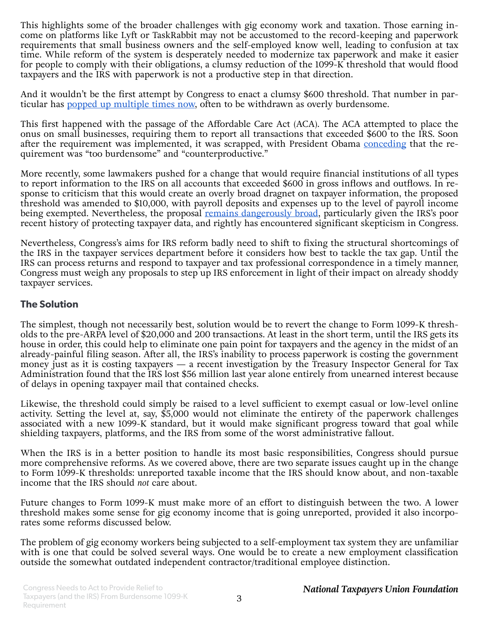This highlights some of the broader challenges with gig economy work and taxation. Those earning income on platforms like Lyft or TaskRabbit may not be accustomed to the record-keeping and paperwork requirements that small business owners and the self-employed know well, leading to confusion at tax time. While reform of the system is desperately needed to modernize tax paperwork and make it easier for people to comply with their obligations, a clumsy reduction of the  $1099\overline{-K}$  threshold that would flood taxpayers and the IRS with paperwork is not a productive step in that direction.

And it wouldn't be the first attempt by Congress to enact a clumsy \$600 threshold. That number in particular has [popped up multiple times now](https://www.ntu.org/foundation/detail/irs-snooping-isnt-the-only-600-threshold-that-makes-no-sense), often to be withdrawn as overly burdensome.

This first happened with the passage of the Affordable Care Act (ACA). The ACA attempted to place the onus on small businesses, requiring them to report all transactions that exceeded \$600 to the IRS. Soon after the requirement was implemented, it was scrapped, with President Obama [conceding](https://www.sba.gov/about-sba/sba-newsroom/press-releases-media-advisories/sba-backs-repeal-burdensome1099-reporting-requirements-small-business-transactions) that the requirement was "too burdensome" and "counterproductive."

More recently, some lawmakers pushed for a change that would require financial institutions of all types to report information to the IRS on all accounts that exceeded \$600 in gross inflows and outflows. In response to criticism that this would create an overly broad dragnet on taxpayer information, the proposed threshold was amended to \$10,000, with payroll deposits and expenses up to the level of payroll income being exempted. Nevertheless, the proposal [remains dangerously broad](https://www.ntu.org/foundation/detail/irs-scrutiny-is-not-only-a-concern-for-tax-evaders), particularly given the IRS's poor recent history of protecting taxpayer data, and rightly has encountered significant skepticism in Congress.

Nevertheless, Congress's aims for IRS reform badly need to shift to fixing the structural shortcomings of the IRS in the taxpayer services department before it considers how best to tackle the tax gap. Until the IRS can process returns and respond to taxpayer and tax professional correspondence in a timely manner, Congress must weigh any proposals to step up IRS enforcement in light of their impact on already shoddy taxpayer services.

#### **The Solution**

The simplest, though not necessarily best, solution would be to revert the change to Form 1099-K thresholds to the pre-ARPA level of \$20,000 and 200 transactions. At least in the short term, until the IRS gets its house in order, this could help to eliminate one pain point for taxpayers and the agency in the midst of an already-painful filing season. After all, the IRS's inability to process paperwork is costing the government money just as it is costing taxpayers — a recent investigation by the Treasury Inspector General for Tax Administration found that the IRS lost \$56 million last year alone entirely from unearned interest because of delays in opening taxpayer mail that contained checks.

Likewise, the threshold could simply be raised to a level sufficient to exempt casual or low-level online activity. Setting the level at, say, \$5,000 would not eliminate the entirety of the paperwork challenges associated with a new 1099-K standard, but it would make significant progress toward that goal while shielding taxpayers, platforms, and the IRS from some of the worst administrative fallout.

When the IRS is in a better position to handle its most basic responsibilities, Congress should pursue more comprehensive reforms. As we covered above, there are two separate issues caught up in the change to Form 1099-K thresholds: unreported taxable income that the IRS should know about, and non-taxable income that the IRS should *not* care about.

Future changes to Form 1099-K must make more of an effort to distinguish between the two. A lower threshold makes some sense for gig economy income that is going unreported, provided it also incorporates some reforms discussed below.

The problem of gig economy workers being subjected to a self-employment tax system they are unfamiliar with is one that could be solved several ways. One would be to create a new employment classification outside the somewhat outdated independent contractor/traditional employee distinction.